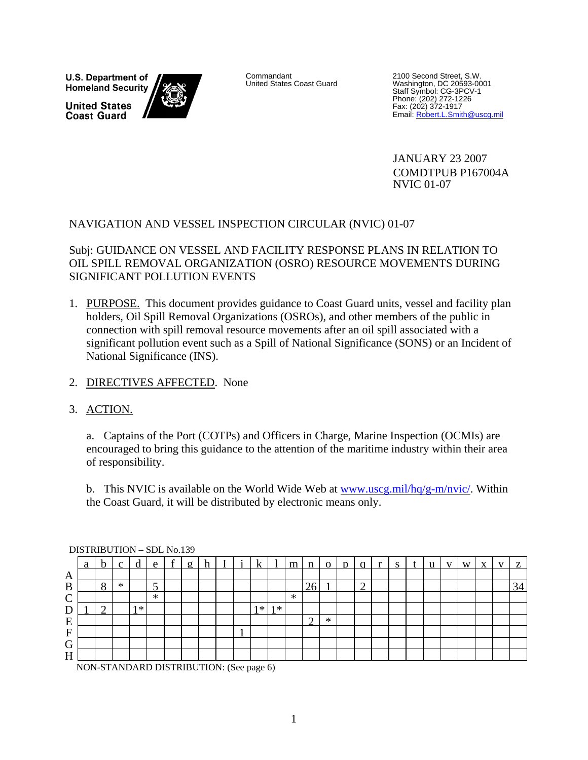**U.S. Department of Homeland Security** 

**United States Coast Guard** 



Email: Robert.L.Smith@uscg.mil Commandant<br>
United States Coast Guard<br>
Washington, DC 20593-00 Washington, DC 20593-0001 Staff Symbol: CG-3PCV-1 Phone: (202) 272-1226 Fax: (202) 372-1917

> JANUARY 23 2007 COMDTPUB P167004A NVIC 01-07

## NAVIGATION AND VESSEL INSPECTION CIRCULAR (NVIC) 01-07

Subj: GUIDANCE ON VESSEL AND FACILITY RESPONSE PLANS IN RELATION TO OIL SPILL REMOVAL ORGANIZATION (OSRO) RESOURCE MOVEMENTS DURING SIGNIFICANT POLLUTION EVENTS

- 1. PURPOSE. This document provides guidance to Coast Guard units, vessel and facility plan holders, Oil Spill Removal Organizations (OSROs), and other members of the public in connection with spill removal resource movements after an oil spill associated with a significant pollution event such as a Spill of National Significance (SONS) or an Incident of National Significance (INS).
- 2. DIRECTIVES AFFECTED. None

# 3. ACTION.

a. Captains of the Port (COTPs) and Officers in Charge, Marine Inspection (OCMIs) are encouraged to bring this guidance to the attention of the maritime industry within their area of responsibility.

b. This NVIC is available on the World Wide Web at www.uscg.mil/ $hq/g-m/nvic/$ . Within the Coast Guard, it will be distributed by electronic means only.

|           | $P1011$ $P21011$ $P21011$ |   |   |         |              |          |  |       |      |        |        |   |   |  |  |  |  |    |
|-----------|---------------------------|---|---|---------|--------------|----------|--|-------|------|--------|--------|---|---|--|--|--|--|----|
|           | a                         |   |   |         | $\mathbf{e}$ | $\sigma$ |  |       |      | m      |        |   |   |  |  |  |  |    |
| A         |                           |   |   |         |              |          |  |       |      |        |        |   |   |  |  |  |  |    |
| B         |                           | Ω | ∗ |         |              |          |  |       |      |        |        |   | ◠ |  |  |  |  | 34 |
| $\sim$    |                           |   |   |         | $\ast$       |          |  |       |      | $\ast$ |        |   |   |  |  |  |  |    |
| ᠇<br>ட    |                           |   |   | $1 * 1$ |              |          |  | $1*1$ | $1*$ |        |        |   |   |  |  |  |  |    |
| E         |                           |   |   |         |              |          |  |       |      |        | $\sim$ | ∗ |   |  |  |  |  |    |
| ${\bf F}$ |                           |   |   |         |              |          |  |       |      |        |        |   |   |  |  |  |  |    |
| G         |                           |   |   |         |              |          |  |       |      |        |        |   |   |  |  |  |  |    |
| H         |                           |   |   |         |              |          |  |       |      |        |        |   |   |  |  |  |  |    |
|           |                           |   |   |         |              |          |  |       |      |        |        |   |   |  |  |  |  |    |

DISTRIBUTION – SDL No.139

NON-STANDARD DISTRIBUTION: (See page 6)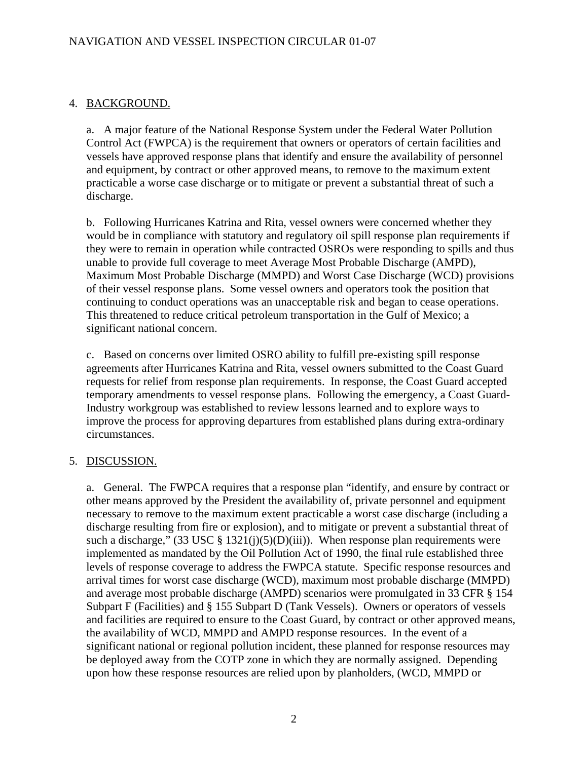# 4. BACKGROUND.

a. A major feature of the National Response System under the Federal Water Pollution Control Act (FWPCA) is the requirement that owners or operators of certain facilities and vessels have approved response plans that identify and ensure the availability of personnel and equipment, by contract or other approved means, to remove to the maximum extent practicable a worse case discharge or to mitigate or prevent a substantial threat of such a discharge.

b. Following Hurricanes Katrina and Rita, vessel owners were concerned whether they would be in compliance with statutory and regulatory oil spill response plan requirements if they were to remain in operation while contracted OSROs were responding to spills and thus unable to provide full coverage to meet Average Most Probable Discharge (AMPD), Maximum Most Probable Discharge (MMPD) and Worst Case Discharge (WCD) provisions of their vessel response plans. Some vessel owners and operators took the position that continuing to conduct operations was an unacceptable risk and began to cease operations. This threatened to reduce critical petroleum transportation in the Gulf of Mexico; a significant national concern.

c. Based on concerns over limited OSRO ability to fulfill pre-existing spill response agreements after Hurricanes Katrina and Rita, vessel owners submitted to the Coast Guard requests for relief from response plan requirements. In response, the Coast Guard accepted temporary amendments to vessel response plans. Following the emergency, a Coast Guard-Industry workgroup was established to review lessons learned and to explore ways to improve the process for approving departures from established plans during extra-ordinary circumstances.

# 5. DISCUSSION.

a. General. The FWPCA requires that a response plan "identify, and ensure by contract or other means approved by the President the availability of, private personnel and equipment necessary to remove to the maximum extent practicable a worst case discharge (including a discharge resulting from fire or explosion), and to mitigate or prevent a substantial threat of such a discharge,"  $(33 \text{ USC} \text{ } \$ 1321 \text{ } (j)(5)(D)(iii))$ . When response plan requirements were implemented as mandated by the Oil Pollution Act of 1990, the final rule established three levels of response coverage to address the FWPCA statute. Specific response resources and arrival times for worst case discharge (WCD), maximum most probable discharge (MMPD) and average most probable discharge (AMPD) scenarios were promulgated in 33 CFR § 154 Subpart F (Facilities) and § 155 Subpart D (Tank Vessels). Owners or operators of vessels and facilities are required to ensure to the Coast Guard, by contract or other approved means, the availability of WCD, MMPD and AMPD response resources. In the event of a significant national or regional pollution incident, these planned for response resources may be deployed away from the COTP zone in which they are normally assigned. Depending upon how these response resources are relied upon by planholders, (WCD, MMPD or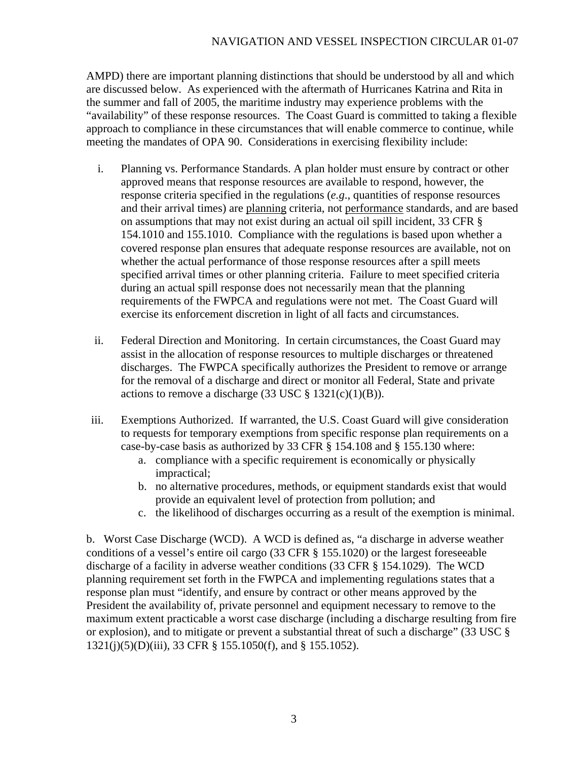### NAVIGATION AND VESSEL INSPECTION CIRCULAR 01-07

AMPD) there are important planning distinctions that should be understood by all and which are discussed below. As experienced with the aftermath of Hurricanes Katrina and Rita in the summer and fall of 2005, the maritime industry may experience problems with the "availability" of these response resources. The Coast Guard is committed to taking a flexible approach to compliance in these circumstances that will enable commerce to continue, while meeting the mandates of OPA 90. Considerations in exercising flexibility include:

- i. Planning vs. Performance Standards. A plan holder must ensure by contract or other approved means that response resources are available to respond, however, the response criteria specified in the regulations (*e.g*., quantities of response resources and their arrival times) are planning criteria, not performance standards, and are based on assumptions that may not exist during an actual oil spill incident, 33 CFR § 154.1010 and 155.1010. Compliance with the regulations is based upon whether a covered response plan ensures that adequate response resources are available, not on whether the actual performance of those response resources after a spill meets specified arrival times or other planning criteria. Failure to meet specified criteria during an actual spill response does not necessarily mean that the planning requirements of the FWPCA and regulations were not met. The Coast Guard will exercise its enforcement discretion in light of all facts and circumstances.
- ii. Federal Direction and Monitoring. In certain circumstances, the Coast Guard may assist in the allocation of response resources to multiple discharges or threatened discharges. The FWPCA specifically authorizes the President to remove or arrange for the removal of a discharge and direct or monitor all Federal, State and private actions to remove a discharge  $(33 \text{ USC} \text{ } \frac{8}{9} \text{ } 1321(c)(1)(B)).$
- iii. Exemptions Authorized. If warranted, the U.S. Coast Guard will give consideration to requests for temporary exemptions from specific response plan requirements on a case-by-case basis as authorized by 33 CFR § 154.108 and § 155.130 where:
	- a. compliance with a specific requirement is economically or physically impractical;
	- b. no alternative procedures, methods, or equipment standards exist that would provide an equivalent level of protection from pollution; and
	- c. the likelihood of discharges occurring as a result of the exemption is minimal.

b. Worst Case Discharge (WCD). A WCD is defined as, "a discharge in adverse weather conditions of a vessel's entire oil cargo (33 CFR § 155.1020) or the largest foreseeable discharge of a facility in adverse weather conditions (33 CFR § 154.1029). The WCD planning requirement set forth in the FWPCA and implementing regulations states that a response plan must "identify, and ensure by contract or other means approved by the President the availability of, private personnel and equipment necessary to remove to the maximum extent practicable a worst case discharge (including a discharge resulting from fire or explosion), and to mitigate or prevent a substantial threat of such a discharge" (33 USC § 1321(j)(5)(D)(iii), 33 CFR § 155.1050(f), and § 155.1052).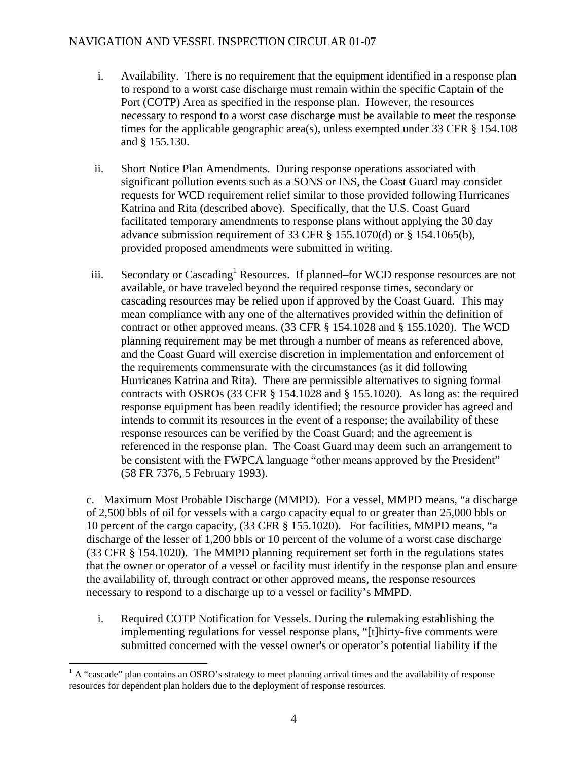#### NAVIGATION AND VESSEL INSPECTION CIRCULAR 01-07

- i. Availability. There is no requirement that the equipment identified in a response plan to respond to a worst case discharge must remain within the specific Captain of the Port (COTP) Area as specified in the response plan. However, the resources necessary to respond to a worst case discharge must be available to meet the response times for the applicable geographic area(s), unless exempted under 33 CFR § 154.108 and § 155.130.
- ii. Short Notice Plan Amendments. During response operations associated with significant pollution events such as a SONS or INS, the Coast Guard may consider requests for WCD requirement relief similar to those provided following Hurricanes Katrina and Rita (described above). Specifically, that the U.S. Coast Guard facilitated temporary amendments to response plans without applying the 30 day advance submission requirement of 33 CFR § 155.1070(d) or § 154.1065(b), provided proposed amendments were submitted in writing.
- iii. Secondary or Cascading<sup>1</sup> Resources. If planned–for WCD response resources are not available, or have traveled beyond the required response times, secondary or cascading resources may be relied upon if approved by the Coast Guard. This may mean compliance with any one of the alternatives provided within the definition of contract or other approved means. (33 CFR § 154.1028 and § 155.1020). The WCD planning requirement may be met through a number of means as referenced above, and the Coast Guard will exercise discretion in implementation and enforcement of the requirements commensurate with the circumstances (as it did following Hurricanes Katrina and Rita). There are permissible alternatives to signing formal contracts with OSROs (33 CFR § 154.1028 and § 155.1020). As long as: the required response equipment has been readily identified; the resource provider has agreed and intends to commit its resources in the event of a response; the availability of these response resources can be verified by the Coast Guard; and the agreement is referenced in the response plan. The Coast Guard may deem such an arrangement to be consistent with the FWPCA language "other means approved by the President" (58 FR 7376, 5 February 1993).

c. Maximum Most Probable Discharge (MMPD). For a vessel, MMPD means, "a discharge of 2,500 bbls of oil for vessels with a cargo capacity equal to or greater than 25,000 bbls or 10 percent of the cargo capacity, (33 CFR § 155.1020). For facilities, MMPD means, "a discharge of the lesser of 1,200 bbls or 10 percent of the volume of a worst case discharge (33 CFR § 154.1020). The MMPD planning requirement set forth in the regulations states that the owner or operator of a vessel or facility must identify in the response plan and ensure the availability of, through contract or other approved means, the response resources necessary to respond to a discharge up to a vessel or facility's MMPD.

i. Required COTP Notification for Vessels. During the rulemaking establishing the implementing regulations for vessel response plans, "[t]hirty-five comments were submitted concerned with the vessel owner's or operator's potential liability if the

 $\overline{a}$ 

 $<sup>1</sup>$  A "cascade" plan contains an OSRO's strategy to meet planning arrival times and the availability of response</sup> resources for dependent plan holders due to the deployment of response resources.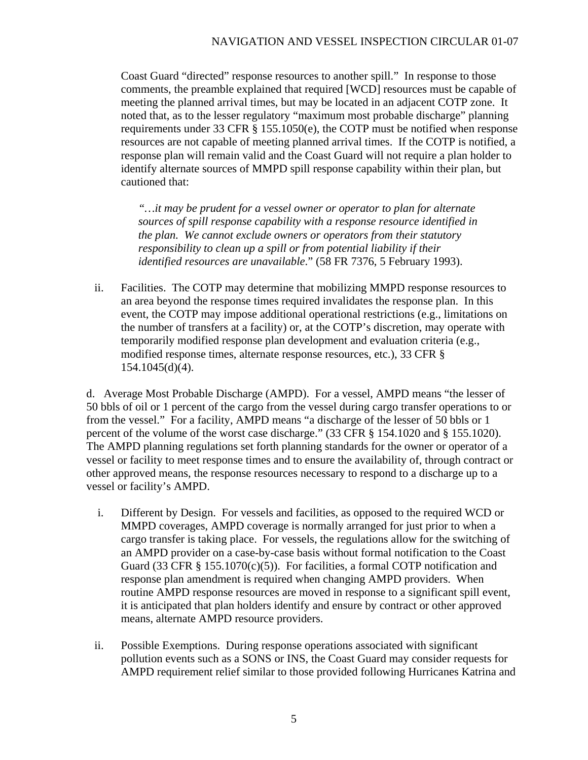Coast Guard "directed" response resources to another spill." In response to those comments, the preamble explained that required [WCD] resources must be capable of meeting the planned arrival times, but may be located in an adjacent COTP zone. It noted that, as to the lesser regulatory "maximum most probable discharge" planning requirements under 33 CFR § 155.1050(e), the COTP must be notified when response resources are not capable of meeting planned arrival times. If the COTP is notified, a response plan will remain valid and the Coast Guard will not require a plan holder to identify alternate sources of MMPD spill response capability within their plan, but cautioned that:

 *identified resources are unavailable*." (58 FR 7376, 5 February 1993). *"…it may be prudent for a vessel owner or operator to plan for alternate sources of spill response capability with a response resource identified in the plan. We cannot exclude owners or operators from their statutory responsibility to clean up a spill or from potential liability if their* 

ii. Facilities. The COTP may determine that mobilizing MMPD response resources to an area beyond the response times required invalidates the response plan. In this event, the COTP may impose additional operational restrictions (e.g., limitations on the number of transfers at a facility) or, at the COTP's discretion, may operate with temporarily modified response plan development and evaluation criteria (e.g., modified response times, alternate response resources, etc.), 33 CFR § 154.1045(d)(4).

d. Average Most Probable Discharge (AMPD). For a vessel, AMPD means "the lesser of 50 bbls of oil or 1 percent of the cargo from the vessel during cargo transfer operations to or from the vessel." For a facility, AMPD means "a discharge of the lesser of 50 bbls or 1 percent of the volume of the worst case discharge." (33 CFR § 154.1020 and § 155.1020). The AMPD planning regulations set forth planning standards for the owner or operator of a vessel or facility to meet response times and to ensure the availability of, through contract or other approved means, the response resources necessary to respond to a discharge up to a vessel or facility's AMPD.

- i. Different by Design. For vessels and facilities, as opposed to the required WCD or MMPD coverages, AMPD coverage is normally arranged for just prior to when a cargo transfer is taking place. For vessels, the regulations allow for the switching of an AMPD provider on a case-by-case basis without formal notification to the Coast Guard (33 CFR  $\S$  155.1070(c)(5)). For facilities, a formal COTP notification and response plan amendment is required when changing AMPD providers. When routine AMPD response resources are moved in response to a significant spill event, it is anticipated that plan holders identify and ensure by contract or other approved means, alternate AMPD resource providers.
- ii. Possible Exemptions. During response operations associated with significant pollution events such as a SONS or INS, the Coast Guard may consider requests for AMPD requirement relief similar to those provided following Hurricanes Katrina and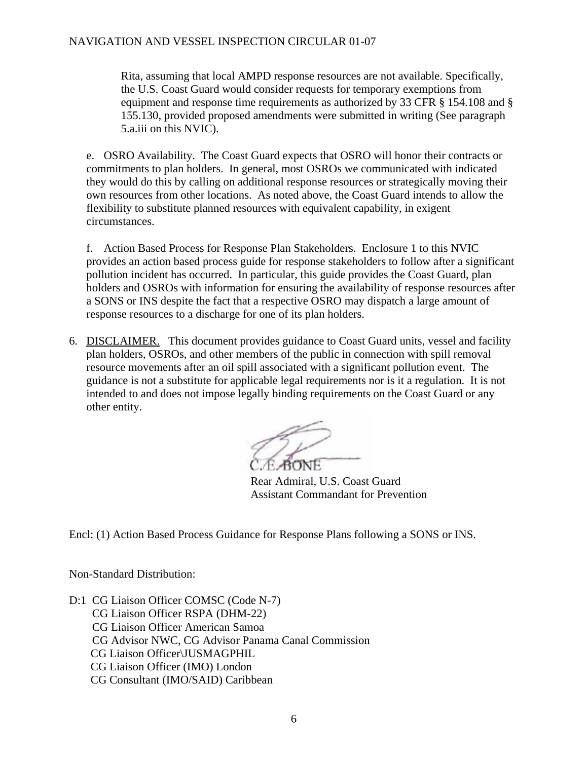#### NAVIGATION AND VESSEL INSPECTION CIRCULAR 01-07

Rita, assuming that local AMPD response resources are not available. Specifically, the U.S. Coast Guard would consider requests for temporary exemptions from equipment and response time requirements as authorized by 33 CFR § 154.108 and § 155.130, provided proposed amendments were submitted in writing (See paragraph 5.a.iii on this NVIC).

e. OSRO Availability. The Coast Guard expects that OSRO will honor their contracts or commitments to plan holders. In general, most OSROs we communicated with indicated they would do this by calling on additional response resources or strategically moving their own resources from other locations. As noted above, the Coast Guard intends to allow the flexibility to substitute planned resources with equivalent capability, in exigent circumstances.

f. Action Based Process for Response Plan Stakeholders. Enclosure 1 to this NVIC provides an action based process guide for response stakeholders to follow after a significant pollution incident has occurred. In particular, this guide provides the Coast Guard, plan holders and OSROs with information for ensuring the availability of response resources after a SONS or INS despite the fact that a respective OSRO may dispatch a large amount of response resources to a discharge for one of its plan holders.

6. DISCLAIMER. This document provides guidance to Coast Guard units, vessel and facility plan holders, OSROs, and other members of the public in connection with spill removal resource movements after an oil spill associated with a significant pollution event. The guidance is not a substitute for applicable legal requirements nor is it a regulation. It is not intended to and does not impose legally binding requirements on the Coast Guard or any other entity.

Rear Admiral, U.S. Coast Guard Assistant Commandant for Prevention

Encl: (1) Action Based Process Guidance for Response Plans following a SONS or INS.

Non-Standard Distribution:

D:1 CG Liaison Officer COMSC (Code N-7) CG Liaison Officer RSPA (DHM-22) CG Liaison Officer American Samoa CG Advisor NWC, CG Advisor Panama Canal Commission CG Liaison Officer\JUSMAGPHIL CG Liaison Officer (IMO) London CG Consultant (IMO/SAID) Caribbean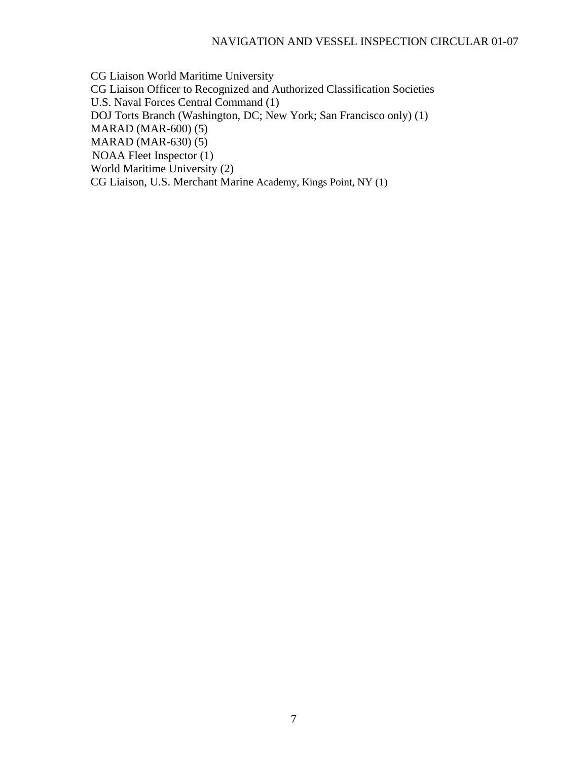CG Liaison World Maritime University CG Liaison Officer to Recognized and Authorized Classification Societies U.S. Naval Forces Central Command (1) DOJ Torts Branch (Washington, DC; New York; San Francisco only) (1) MARAD (MAR-600) (5) MARAD (MAR-630) (5) NOAA Fleet Inspector (1) World Maritime University (2) CG Liaison, U.S. Merchant Marine Academy, Kings Point, NY (1)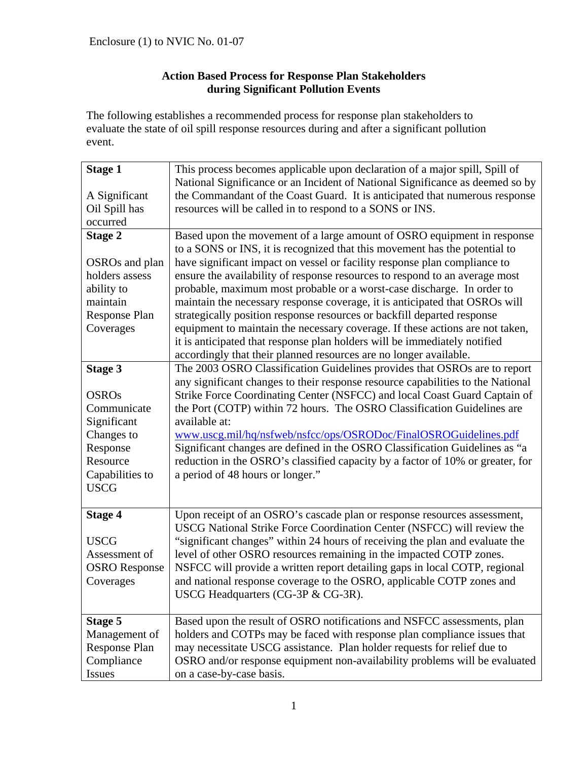## **Action Based Process for Response Plan Stakeholders during Significant Pollution Events**

The following establishes a recommended process for response plan stakeholders to evaluate the state of oil spill response resources during and after a significant pollution event.

| <b>Stage 1</b>             | This process becomes applicable upon declaration of a major spill, Spill of     |  |  |  |  |  |  |  |
|----------------------------|---------------------------------------------------------------------------------|--|--|--|--|--|--|--|
|                            | National Significance or an Incident of National Significance as deemed so by   |  |  |  |  |  |  |  |
| A Significant              | the Commandant of the Coast Guard. It is anticipated that numerous response     |  |  |  |  |  |  |  |
| Oil Spill has              | resources will be called in to respond to a SONS or INS.                        |  |  |  |  |  |  |  |
| occurred                   |                                                                                 |  |  |  |  |  |  |  |
| <b>Stage 2</b>             | Based upon the movement of a large amount of OSRO equipment in response         |  |  |  |  |  |  |  |
|                            | to a SONS or INS, it is recognized that this movement has the potential to      |  |  |  |  |  |  |  |
| OSRO <sub>s</sub> and plan | have significant impact on vessel or facility response plan compliance to       |  |  |  |  |  |  |  |
| holders assess             | ensure the availability of response resources to respond to an average most     |  |  |  |  |  |  |  |
| ability to                 | probable, maximum most probable or a worst-case discharge. In order to          |  |  |  |  |  |  |  |
| maintain                   | maintain the necessary response coverage, it is anticipated that OSROs will     |  |  |  |  |  |  |  |
| Response Plan              | strategically position response resources or backfill departed response         |  |  |  |  |  |  |  |
| Coverages                  | equipment to maintain the necessary coverage. If these actions are not taken,   |  |  |  |  |  |  |  |
|                            | it is anticipated that response plan holders will be immediately notified       |  |  |  |  |  |  |  |
|                            | accordingly that their planned resources are no longer available.               |  |  |  |  |  |  |  |
| <b>Stage 3</b>             | The 2003 OSRO Classification Guidelines provides that OSROs are to report       |  |  |  |  |  |  |  |
|                            | any significant changes to their response resource capabilities to the National |  |  |  |  |  |  |  |
| <b>OSROs</b>               | Strike Force Coordinating Center (NSFCC) and local Coast Guard Captain of       |  |  |  |  |  |  |  |
| Communicate                | the Port (COTP) within 72 hours. The OSRO Classification Guidelines are         |  |  |  |  |  |  |  |
| Significant                | available at:                                                                   |  |  |  |  |  |  |  |
| Changes to                 | www.uscg.mil/hq/nsfweb/nsfcc/ops/OSRODoc/FinalOSROGuidelines.pdf                |  |  |  |  |  |  |  |
| Response                   | Significant changes are defined in the OSRO Classification Guidelines as "a     |  |  |  |  |  |  |  |
| Resource                   | reduction in the OSRO's classified capacity by a factor of 10% or greater, for  |  |  |  |  |  |  |  |
| Capabilities to            | a period of 48 hours or longer."                                                |  |  |  |  |  |  |  |
| <b>USCG</b>                |                                                                                 |  |  |  |  |  |  |  |
|                            |                                                                                 |  |  |  |  |  |  |  |
| <b>Stage 4</b>             | Upon receipt of an OSRO's cascade plan or response resources assessment,        |  |  |  |  |  |  |  |
|                            | USCG National Strike Force Coordination Center (NSFCC) will review the          |  |  |  |  |  |  |  |
| <b>USCG</b>                | "significant changes" within 24 hours of receiving the plan and evaluate the    |  |  |  |  |  |  |  |
| Assessment of              | level of other OSRO resources remaining in the impacted COTP zones.             |  |  |  |  |  |  |  |
| <b>OSRO</b> Response       | NSFCC will provide a written report detailing gaps in local COTP, regional      |  |  |  |  |  |  |  |
| Coverages                  | and national response coverage to the OSRO, applicable COTP zones and           |  |  |  |  |  |  |  |
|                            | USCG Headquarters (CG-3P & CG-3R).                                              |  |  |  |  |  |  |  |
|                            |                                                                                 |  |  |  |  |  |  |  |
| Stage 5                    | Based upon the result of OSRO notifications and NSFCC assessments, plan         |  |  |  |  |  |  |  |
| Management of              | holders and COTPs may be faced with response plan compliance issues that        |  |  |  |  |  |  |  |
| <b>Response Plan</b>       | may necessitate USCG assistance. Plan holder requests for relief due to         |  |  |  |  |  |  |  |
| Compliance                 | OSRO and/or response equipment non-availability problems will be evaluated      |  |  |  |  |  |  |  |
| Issues                     | on a case-by-case basis.                                                        |  |  |  |  |  |  |  |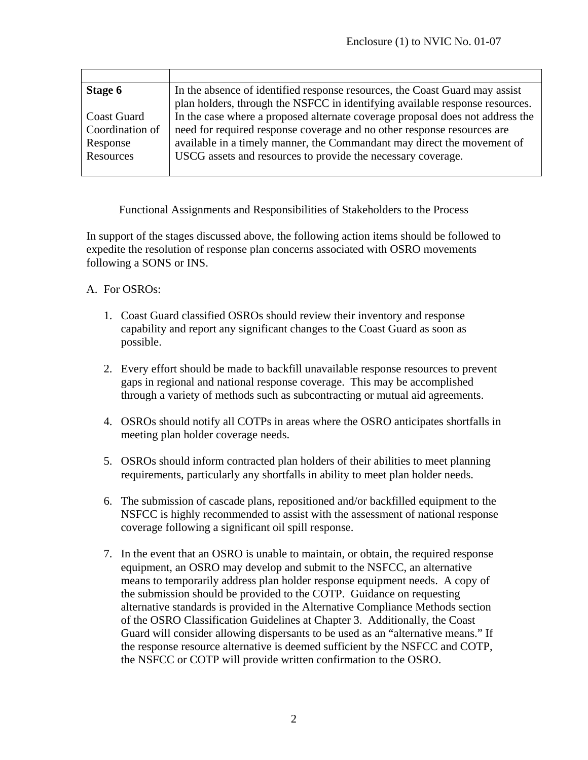| Stage 6            | In the absence of identified response resources, the Coast Guard may assist   |
|--------------------|-------------------------------------------------------------------------------|
|                    | plan holders, through the NSFCC in identifying available response resources.  |
| <b>Coast Guard</b> | In the case where a proposed alternate coverage proposal does not address the |
| Coordination of    | need for required response coverage and no other response resources are       |
| Response           | available in a timely manner, the Commandant may direct the movement of       |
| Resources          | USCG assets and resources to provide the necessary coverage.                  |
|                    |                                                                               |

Functional Assignments and Responsibilities of Stakeholders to the Process

In support of the stages discussed above, the following action items should be followed to expedite the resolution of response plan concerns associated with OSRO movements following a SONS or INS.

#### A. For OSROs:

- 1. Coast Guard classified OSROs should review their inventory and response capability and report any significant changes to the Coast Guard as soon as possible.
- 2. Every effort should be made to backfill unavailable response resources to prevent gaps in regional and national response coverage. This may be accomplished through a variety of methods such as subcontracting or mutual aid agreements.
- 4. OSROs should notify all COTPs in areas where the OSRO anticipates shortfalls in meeting plan holder coverage needs.
- 5. OSROs should inform contracted plan holders of their abilities to meet planning requirements, particularly any shortfalls in ability to meet plan holder needs.
- 6. The submission of cascade plans, repositioned and/or backfilled equipment to the NSFCC is highly recommended to assist with the assessment of national response coverage following a significant oil spill response.
- 7. In the event that an OSRO is unable to maintain, or obtain, the required response equipment, an OSRO may develop and submit to the NSFCC, an alternative means to temporarily address plan holder response equipment needs. A copy of the submission should be provided to the COTP. Guidance on requesting alternative standards is provided in the Alternative Compliance Methods section of the OSRO Classification Guidelines at Chapter 3. Additionally, the Coast Guard will consider allowing dispersants to be used as an "alternative means." If the response resource alternative is deemed sufficient by the NSFCC and COTP, the NSFCC or COTP will provide written confirmation to the OSRO.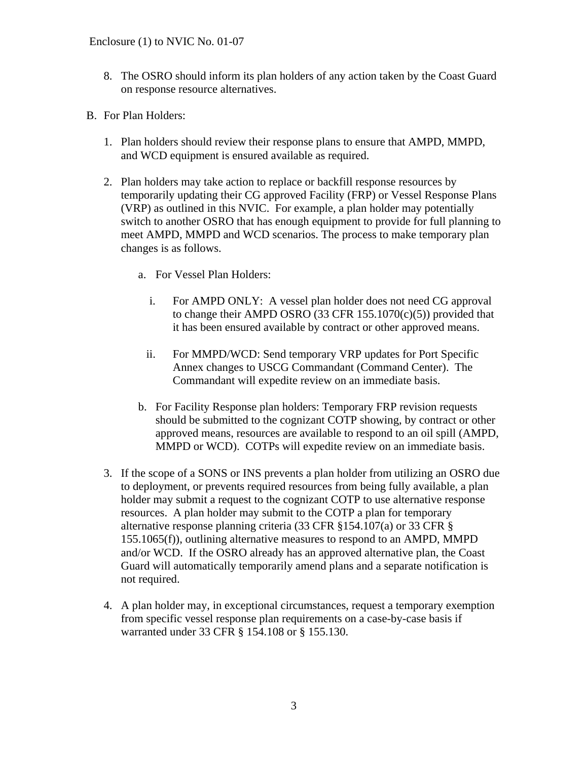- 8. The OSRO should inform its plan holders of any action taken by the Coast Guard on response resource alternatives.
- B. For Plan Holders:
	- 1. Plan holders should review their response plans to ensure that AMPD, MMPD, and WCD equipment is ensured available as required.
	- 2. Plan holders may take action to replace or backfill response resources by temporarily updating their CG approved Facility (FRP) or Vessel Response Plans (VRP) as outlined in this NVIC. For example, a plan holder may potentially switch to another OSRO that has enough equipment to provide for full planning to meet AMPD, MMPD and WCD scenarios. The process to make temporary plan changes is as follows.
		- a. For Vessel Plan Holders:
			- i. For AMPD ONLY: A vessel plan holder does not need CG approval to change their AMPD OSRO (33 CFR  $155.1070(c)(5)$ ) provided that it has been ensured available by contract or other approved means.
			- ii. For MMPD/WCD: Send temporary VRP updates for Port Specific Annex changes to USCG Commandant (Command Center). The Commandant will expedite review on an immediate basis.
		- b. For Facility Response plan holders: Temporary FRP revision requests should be submitted to the cognizant COTP showing, by contract or other approved means, resources are available to respond to an oil spill (AMPD, MMPD or WCD). COTPs will expedite review on an immediate basis.
	- 3. If the scope of a SONS or INS prevents a plan holder from utilizing an OSRO due to deployment, or prevents required resources from being fully available, a plan holder may submit a request to the cognizant COTP to use alternative response resources. A plan holder may submit to the COTP a plan for temporary alternative response planning criteria (33 CFR §154.107(a) or 33 CFR § 155.1065(f)), outlining alternative measures to respond to an AMPD, MMPD and/or WCD. If the OSRO already has an approved alternative plan, the Coast Guard will automatically temporarily amend plans and a separate notification is not required.
	- 4. A plan holder may, in exceptional circumstances, request a temporary exemption from specific vessel response plan requirements on a case-by-case basis if warranted under 33 CFR § 154.108 or § 155.130.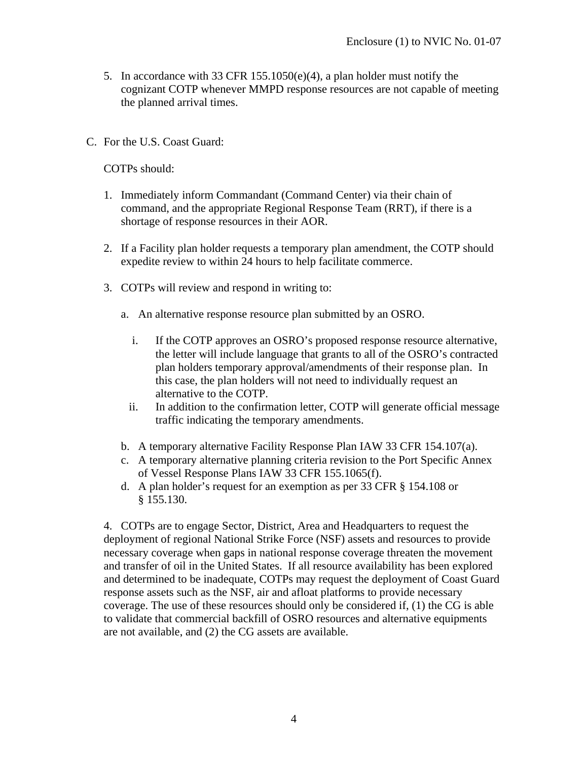- 5. In accordance with 33 CFR 155.1050(e)(4), a plan holder must notify the cognizant COTP whenever MMPD response resources are not capable of meeting the planned arrival times.
- C. For the U.S. Coast Guard:

COTPs should:

- 1. Immediately inform Commandant (Command Center) via their chain of command, and the appropriate Regional Response Team (RRT), if there is a shortage of response resources in their AOR.
- 2. If a Facility plan holder requests a temporary plan amendment, the COTP should expedite review to within 24 hours to help facilitate commerce.
- 3. COTPs will review and respond in writing to:
	- a. An alternative response resource plan submitted by an OSRO.
		- i. If the COTP approves an OSRO's proposed response resource alternative, the letter will include language that grants to all of the OSRO's contracted plan holders temporary approval/amendments of their response plan. In this case, the plan holders will not need to individually request an alternative to the COTP.
		- ii. In addition to the confirmation letter, COTP will generate official message traffic indicating the temporary amendments.
	- b. A temporary alternative Facility Response Plan IAW 33 CFR 154.107(a).
	- c. A temporary alternative planning criteria revision to the Port Specific Annex of Vessel Response Plans IAW 33 CFR 155.1065(f).
	- d. A plan holder's request for an exemption as per 33 CFR § 154.108 or § 155.130.

4. COTPs are to engage Sector, District, Area and Headquarters to request the deployment of regional National Strike Force (NSF) assets and resources to provide necessary coverage when gaps in national response coverage threaten the movement and transfer of oil in the United States. If all resource availability has been explored and determined to be inadequate, COTPs may request the deployment of Coast Guard response assets such as the NSF, air and afloat platforms to provide necessary coverage. The use of these resources should only be considered if, (1) the CG is able to validate that commercial backfill of OSRO resources and alternative equipments are not available, and (2) the CG assets are available.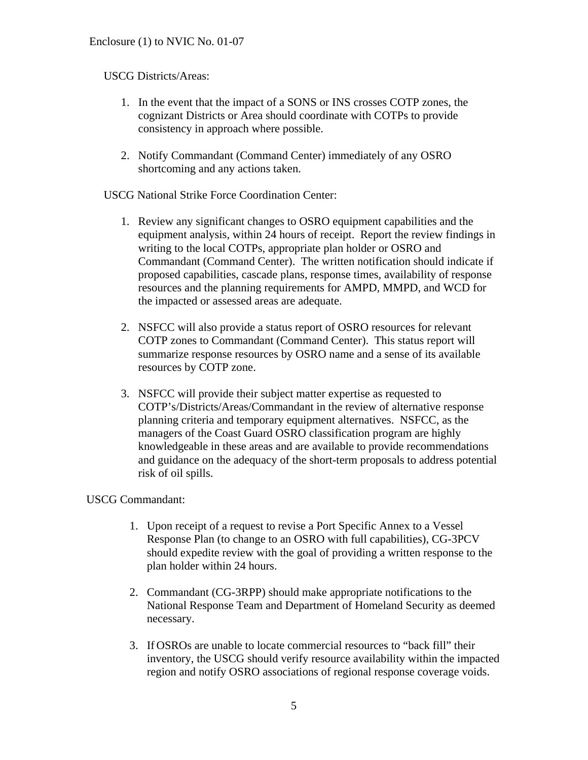## USCG Districts/Areas:

- 1. In the event that the impact of a SONS or INS crosses COTP zones, the cognizant Districts or Area should coordinate with COTPs to provide consistency in approach where possible.
- 2. Notify Commandant (Command Center) immediately of any OSRO shortcoming and any actions taken.

USCG National Strike Force Coordination Center:

- 1. Review any significant changes to OSRO equipment capabilities and the equipment analysis, within 24 hours of receipt. Report the review findings in writing to the local COTPs, appropriate plan holder or OSRO and Commandant (Command Center). The written notification should indicate if proposed capabilities, cascade plans, response times, availability of response resources and the planning requirements for AMPD, MMPD, and WCD for the impacted or assessed areas are adequate.
- 2. NSFCC will also provide a status report of OSRO resources for relevant COTP zones to Commandant (Command Center). This status report will summarize response resources by OSRO name and a sense of its available resources by COTP zone.
- 3. NSFCC will provide their subject matter expertise as requested to COTP's/Districts/Areas/Commandant in the review of alternative response planning criteria and temporary equipment alternatives. NSFCC, as the managers of the Coast Guard OSRO classification program are highly knowledgeable in these areas and are available to provide recommendations and guidance on the adequacy of the short-term proposals to address potential risk of oil spills.

### USCG Commandant:

- 1. Upon receipt of a request to revise a Port Specific Annex to a Vessel Response Plan (to change to an OSRO with full capabilities), CG-3PCV should expedite review with the goal of providing a written response to the plan holder within 24 hours.
- 2. Commandant (CG-3RPP) should make appropriate notifications to the National Response Team and Department of Homeland Security as deemed necessary.
- 3. If OSROs are unable to locate commercial resources to "back fill" their inventory, the USCG should verify resource availability within the impacted region and notify OSRO associations of regional response coverage voids.